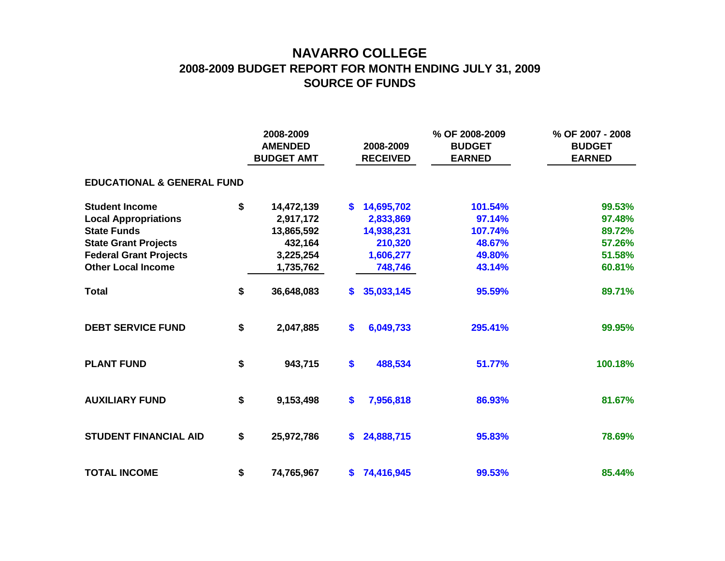## **NAVARRO COLLEGE 2008-2009 BUDGET REPORT FOR MONTH ENDING JULY 31, 2009 SOURCE OF FUNDS**

|                                       |    | 2008-2009<br><b>AMENDED</b><br><b>BUDGET AMT</b> |          | 2008-2009<br><b>RECEIVED</b> | % OF 2008-2009<br><b>BUDGET</b><br><b>EARNED</b> | % OF 2007 - 2008<br><b>BUDGET</b><br><b>EARNED</b> |  |  |  |  |  |  |  |
|---------------------------------------|----|--------------------------------------------------|----------|------------------------------|--------------------------------------------------|----------------------------------------------------|--|--|--|--|--|--|--|
| <b>EDUCATIONAL &amp; GENERAL FUND</b> |    |                                                  |          |                              |                                                  |                                                    |  |  |  |  |  |  |  |
| <b>Student Income</b>                 | \$ | 14,472,139                                       | S.       | 14,695,702                   | 101.54%                                          | 99.53%                                             |  |  |  |  |  |  |  |
| <b>Local Appropriations</b>           |    | 2,917,172                                        |          | 2,833,869                    | 97.14%                                           | 97.48%                                             |  |  |  |  |  |  |  |
| <b>State Funds</b>                    |    | 13,865,592                                       |          | 14,938,231                   | 107.74%                                          | 89.72%                                             |  |  |  |  |  |  |  |
| <b>State Grant Projects</b>           |    | 432,164                                          |          | 210,320                      | 48.67%                                           | 57.26%                                             |  |  |  |  |  |  |  |
| <b>Federal Grant Projects</b>         |    | 3,225,254                                        |          | 1,606,277                    | 49.80%                                           | 51.58%                                             |  |  |  |  |  |  |  |
| <b>Other Local Income</b>             |    | 1,735,762                                        |          | 748,746                      | 43.14%                                           | 60.81%                                             |  |  |  |  |  |  |  |
| <b>Total</b>                          | \$ | 36,648,083                                       | \$       | 35,033,145                   | 95.59%                                           | 89.71%                                             |  |  |  |  |  |  |  |
| <b>DEBT SERVICE FUND</b>              | \$ | 2,047,885                                        | \$       | 6,049,733                    | 295.41%                                          | 99.95%                                             |  |  |  |  |  |  |  |
| <b>PLANT FUND</b>                     | \$ | 943,715                                          | \$       | 488,534                      | 51.77%                                           | 100.18%                                            |  |  |  |  |  |  |  |
| <b>AUXILIARY FUND</b>                 | \$ | 9,153,498                                        | \$       | 7,956,818                    | 86.93%                                           | 81.67%                                             |  |  |  |  |  |  |  |
| <b>STUDENT FINANCIAL AID</b>          | \$ | 25,972,786                                       | <b>S</b> | 24,888,715                   | 95.83%                                           | 78.69%                                             |  |  |  |  |  |  |  |
| <b>TOTAL INCOME</b>                   | \$ | 74,765,967                                       |          | \$74,416,945                 | 99.53%                                           | 85.44%                                             |  |  |  |  |  |  |  |